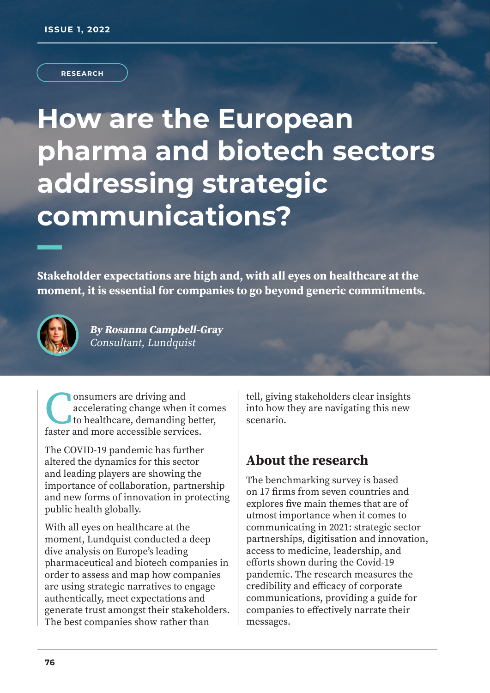**RESEARCH**

# **How are the European pharma and biotech sectors addressing strategic communications?**

**Stakeholder expectations are high and, with all eyes on healthcare at the moment, it is essential for companies to go beyond generic commitments.** 



**By Rosanna Campbell-Gray**  Consultant, Lundquist

**CO** consumers are driving and accelerating change when it consider to healthcare, demanding bet faster and more accessible services. onsumers are driving and accelerating change when it comes to healthcare, demanding better,

The COVID-19 pandemic has further altered the dynamics for this sector and leading players are showing the importance of collaboration, partnership and new forms of innovation in protecting public health globally.

With all eyes on healthcare at the moment, Lundquist conducted a deep dive analysis on Europe's leading pharmaceutical and biotech companies in order to assess and map how companies are using strategic narratives to engage authentically, meet expectations and generate trust amongst their stakeholders. The best companies show rather than

tell, giving stakeholders clear insights into how they are navigating this new scenario.

#### **About the research**

The benchmarking survey is based on 17 firms from seven countries and explores five main themes that are of utmost importance when it comes to communicating in 2021: strategic sector partnerships, digitisation and innovation, access to medicine, leadership, and efforts shown during the Covid-19 pandemic. The research measures the credibility and efficacy of corporate communications, providing a guide for companies to effectively narrate their messages.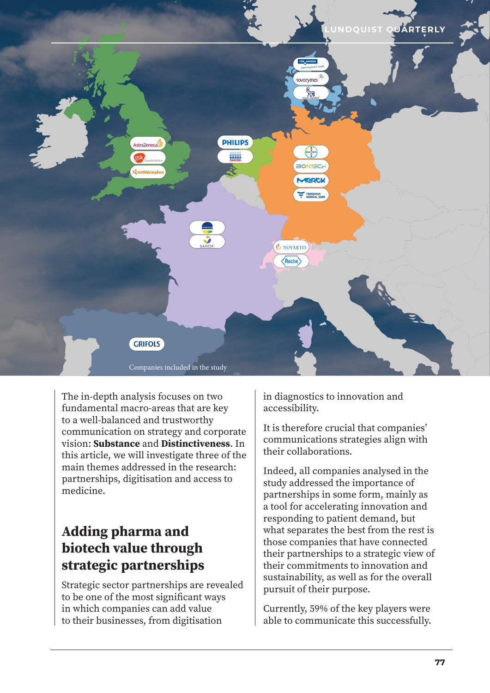

The in-depth analysis focuses on two fundamental macro-areas that are key to a well-balanced and trustworthy communication on strategy and corporate vision: **Substance** and **Distinctiveness**. In this article, we will investigate three of the main themes addressed in the research: partnerships, digitisation and access to medicine.

## **Adding pharma and biotech value through strategic partnerships**

Strategic sector partnerships are revealed to be one of the most significant ways in which companies can add value to their businesses, from digitisation

in diagnostics to innovation and accessibility.

It is therefore crucial that companies' communications strategies align with their collaborations.

Indeed, all companies analysed in the study addressed the importance of partnerships in some form, mainly as a tool for accelerating innovation and responding to patient demand, but what separates the best from the rest is those companies that have connected their partnerships to a strategic view of their commitments to innovation and sustainability, as well as for the overall pursuit of their purpose.

Currently, 59% of the key players were able to communicate this successfully.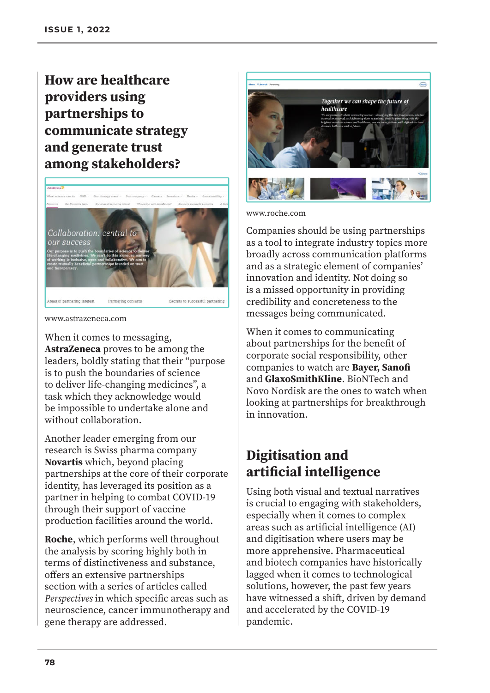## **How are healthcare providers using partnerships to communicate strategy and generate trust among stakeholders?**



www.astrazeneca.com

When it comes to messaging, **AstraZeneca** proves to be among the leaders, boldly stating that their "purpose is to push the boundaries of science to deliver life-changing medicines", a task which they acknowledge would be impossible to undertake alone and without collaboration.

Another leader emerging from our research is Swiss pharma company **Novartis** which, beyond placing partnerships at the core of their corporate identity, has leveraged its position as a partner in helping to combat COVID-19 through their support of vaccine production facilities around the world.

**Roche**, which performs well throughout the analysis by scoring highly both in terms of distinctiveness and substance, offers an extensive partnerships section with a series of articles called Perspectives in which specific areas such as neuroscience, cancer immunotherapy and gene therapy are addressed.



www.roche.com

Companies should be using partnerships as a tool to integrate industry topics more broadly across communication platforms and as a strategic element of companies' innovation and identity. Not doing so is a missed opportunity in providing credibility and concreteness to the messages being communicated.

When it comes to communicating about partnerships for the benefit of corporate social responsibility, other companies to watch are **Bayer, Sanofi**  and **GlaxoSmithKline**. BioNTech and Novo Nordisk are the ones to watch when looking at partnerships for breakthrough in innovation.

## **Digitisation and artificial intelligence**

Using both visual and textual narratives is crucial to engaging with stakeholders, especially when it comes to complex areas such as artificial intelligence (AI) and digitisation where users may be more apprehensive. Pharmaceutical and biotech companies have historically lagged when it comes to technological solutions, however, the past few years have witnessed a shift, driven by demand and accelerated by the COVID-19 pandemic.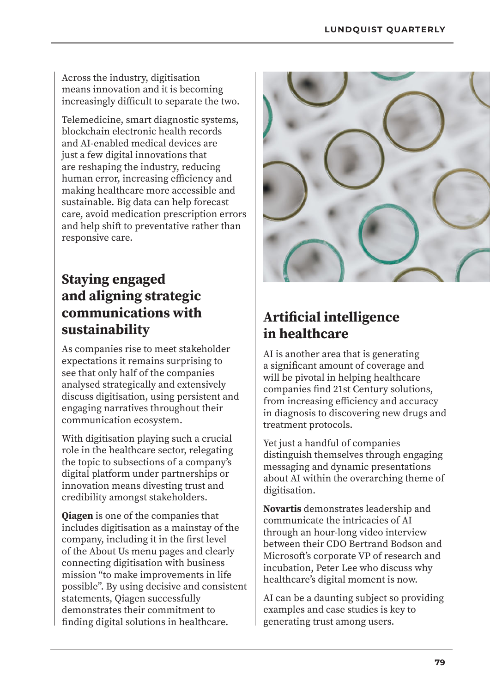Across the industry, digitisation means innovation and it is becoming increasingly difficult to separate the two.

Telemedicine, smart diagnostic systems, blockchain electronic health records and AI-enabled medical devices are just a few digital innovations that are reshaping the industry, reducing human error, increasing efficiency and making healthcare more accessible and sustainable. Big data can help forecast care, avoid medication prescription errors and help shift to preventative rather than responsive care.

### **Staying engaged and aligning strategic communications with sustainability**

As companies rise to meet stakeholder expectations it remains surprising to see that only half of the companies analysed strategically and extensively discuss digitisation, using persistent and engaging narratives throughout their communication ecosystem.

With digitisation playing such a crucial role in the healthcare sector, relegating the topic to subsections of a company's digital platform under partnerships or innovation means divesting trust and credibility amongst stakeholders.

**Qiagen** is one of the companies that includes digitisation as a mainstay of the company, including it in the first level of the About Us menu pages and clearly connecting digitisation with business mission "to make improvements in life possible". By using decisive and consistent statements, Qiagen successfully demonstrates their commitment to finding digital solutions in healthcare.



## **Artificial intelligence in healthcare**

AI is another area that is generating a significant amount of coverage and will be pivotal in helping healthcare companies find 21st Century solutions, from increasing efficiency and accuracy in diagnosis to discovering new drugs and treatment protocols.

Yet just a handful of companies distinguish themselves through engaging messaging and dynamic presentations about AI within the overarching theme of digitisation.

**Novartis** demonstrates leadership and communicate the intricacies of AI through an hour-long video interview between their CDO Bertrand Bodson and Microsoft's corporate VP of research and incubation, Peter Lee who discuss why healthcare's digital moment is now.

AI can be a daunting subject so providing examples and case studies is key to generating trust among users.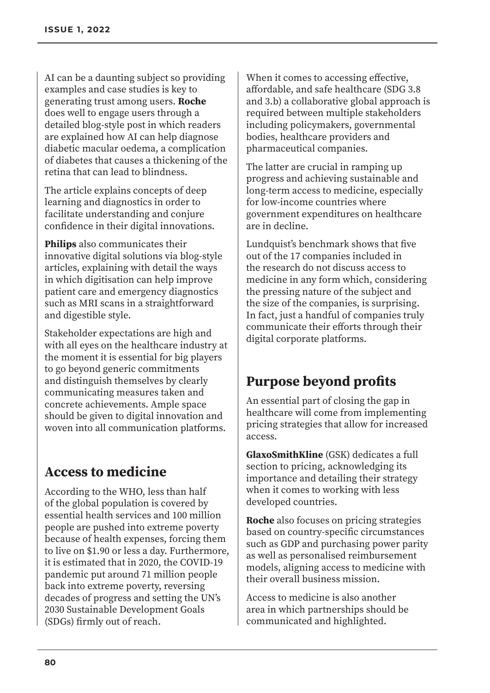AI can be a daunting subject so providing examples and case studies is key to generating trust among users. **Roche** does well to engage users through a detailed blog-style post in which readers are explained how AI can help diagnose diabetic macular oedema, a complication of diabetes that causes a thickening of the retina that can lead to blindness.

The article explains concepts of deep learning and diagnostics in order to facilitate understanding and conjure confidence in their digital innovations.

**Philips** also communicates their innovative digital solutions via blog-style articles, explaining with detail the ways in which digitisation can help improve patient care and emergency diagnostics such as MRI scans in a straightforward and digestible style.

Stakeholder expectations are high and with all eyes on the healthcare industry at the moment it is essential for big players to go beyond generic commitments and distinguish themselves by clearly communicating measures taken and concrete achievements. Ample space should be given to digital innovation and woven into all communication platforms.

## **Access to medicine**

According to the WHO, less than half of the global population is covered by essential health services and 100 million people are pushed into extreme poverty because of health expenses, forcing them to live on \$1.90 or less a day. Furthermore, it is estimated that in 2020, the COVID-19 pandemic put around 71 million people back into extreme poverty, reversing decades of progress and setting the UN's 2030 Sustainable Development Goals (SDGs) firmly out of reach.

When it comes to accessing effective, affordable, and safe healthcare (SDG 3.8 and 3.b) a collaborative global approach is required between multiple stakeholders including policymakers, governmental bodies, healthcare providers and pharmaceutical companies.

The latter are crucial in ramping up progress and achieving sustainable and long-term access to medicine, especially for low-income countries where government expenditures on healthcare are in decline.

Lundquist's benchmark shows that five out of the 17 companies included in the research do not discuss access to medicine in any form which, considering the pressing nature of the subject and the size of the companies, is surprising. In fact, just a handful of companies truly communicate their efforts through their digital corporate platforms.

## **Purpose beyond profits**

An essential part of closing the gap in healthcare will come from implementing pricing strategies that allow for increased access.

**GlaxoSmithKline** (GSK) dedicates a full section to pricing, acknowledging its importance and detailing their strategy when it comes to working with less developed countries.

**Roche** also focuses on pricing strategies based on country-specific circumstances such as GDP and purchasing power parity as well as personalised reimbursement models, aligning access to medicine with their overall business mission.

Access to medicine is also another area in which partnerships should be communicated and highlighted.